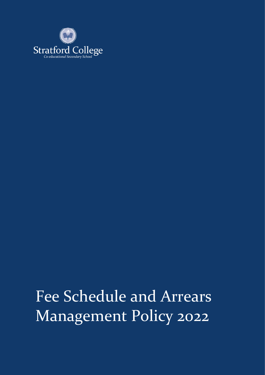

# Fee Schedule and Arrears Management Policy 2022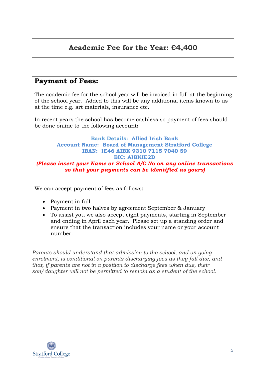## **Academic Fee for the Year: €4,400**

## **Payment of Fees:**

The academic fee for the school year will be invoiced in full at the beginning of the school year. Added to this will be any additional items known to us at the time e.g. art materials, insurance etc.

In recent years the school has become cashless so payment of fees should be done online to the following account**:** 

#### **Bank Details: Allied Irish Bank Account Name: Board of Management Stratford College IBAN: IE46 AIBK 9310 7115 7040 59 BIC: AIBKIE2D** *(Please insert your Name or School A/C No on any online transactions so that your payments can be identified as yours)*

We can accept payment of fees as follows:

- Payment in full
- Payment in two halves by agreement September & January
- To assist you we also accept eight payments, starting in September and ending in April each year. Please set up a standing order and ensure that the transaction includes your name or your account number.

*Parents should understand that admission to the school, and on-going enrolment, is conditional on parents discharging fees as they fall due, and that, if parents are not in a position to discharge fees when due, their son/daughter will not be permitted to remain as a student of the school.* 

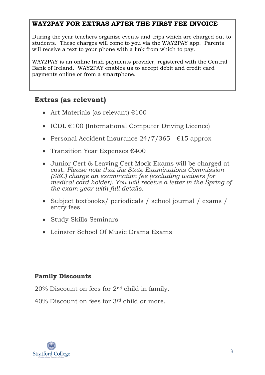#### **WAY2PAY FOR EXTRAS AFTER THE FIRST FEE INVOICE**

During the year teachers organize events and trips which are charged out to students. These charges will come to you via the WAY2PAY app. Parents will receive a text to your phone with a link from which to pay.

WAY2PAY is an online Irish payments provider, registered with the Central Bank of Ireland. WAY2PAY enables us to accept debit and credit card payments online or from a smartphone.

#### **Extras (as relevant)**

- Art Materials (as relevant)  $€100$
- ICDL  $E100$  (International Computer Driving Licence)
- Personal Accident Insurance  $24/7/365$   $615$  approx
- Transition Year Expenses  $€400$
- Junior Cert & Leaving Cert Mock Exams will be charged at cost. *Please note that the State Examinations Commission (SEC) charge an examination fee (excluding waivers for medical card holder). You will receive a letter in the Spring of the exam year with full details.*
- Subject textbooks/ periodicals / school journal / exams / entry fees
- Study Skills Seminars
- Leinster School Of Music Drama Exams

#### **Family Discounts**

20% Discount on fees for 2nd child in family.

40% Discount on fees for 3rd child or more.

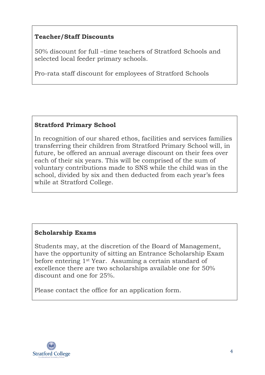## **Teacher/Staff Discounts**

50% discount for full –time teachers of Stratford Schools and selected local feeder primary schools.

Pro-rata staff discount for employees of Stratford Schools

### **Stratford Primary School**

In recognition of our shared ethos, facilities and services families transferring their children from Stratford Primary School will, in future, be offered an annual average discount on their fees over each of their six years. This will be comprised of the sum of voluntary contributions made to SNS while the child was in the school, divided by six and then deducted from each year's fees while at Stratford College.

### **Scholarship Exams**

Students may, at the discretion of the Board of Management, have the opportunity of sitting an Entrance Scholarship Exam before entering 1st Year. Assuming a certain standard of excellence there are two scholarships available one for 50% discount and one for 25%.

Please contact the office for an application form.

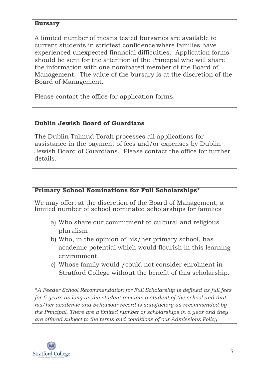#### **Bursary**

A limited number of means tested bursaries are available to current students in strictest confidence where families have experienced unexpected financial difficulties. Application forms should be sent for the attention of the Principal who will share the information with one nominated member of the Board of Management. The value of the bursary is at the discretion of the Board of Management.

Please contact the office for application forms.

### **Dublin Jewish Board of Guardians**

The Dublin Talmud Torah processes all applications for assistance in the payment of fees and/or expenses by Dublin Jewish Board of Guardians. Please contact the office for further details.

#### **Primary School Nominations for Full Scholarships\***

We may offer, at the discretion of the Board of Management, a limited number of school nominated scholarships for families

- a) Who share our commitment to cultural and religious pluralism
- b) Who, in the opinion of his/her primary school, has academic potential which would flourish in this learning environment.
- c) Whose family would /could not consider enrolment in Stratford College without the benefit of this scholarship.

\**A Feeder School Recommendation for Full Scholarship is defined as full fees for 6 years as long as the student remains a student of the school and that his/her academic and behaviour record is satisfactory as recommended by the Principal. There are a limited number of scholarships in a year and they are offered subject to the terms and conditions of our Admissions Policy.*